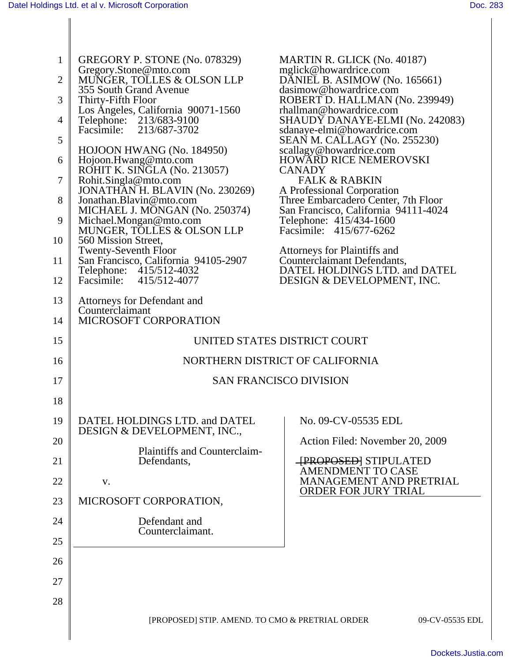| $\mathbf{1}$ | GREGORY P. STONE (No. 078329)                                   | MARTIN R. GLICK (No. 40187)                                                 |
|--------------|-----------------------------------------------------------------|-----------------------------------------------------------------------------|
| 2            | Gregory.Stone@mto.com<br>MUNGER, TOLLES & OLSON LLP             | mglick@howardrice.com<br>DANIEL B. ASIMOW (No. 165661)                      |
| 3            | 355 South Grand Avenue<br>Thirty-Fifth Floor                    | dasimow@howardrice.com<br>ROBERT D. HALLMAN (No. 239949)                    |
| 4            | Los Angeles, California 90071-1560<br>Telephone: 213/683-9100   | rhallman@howardrice.com<br>SHAUDY DANAYE-ELMI (No. 242083)                  |
| 5            | 213/687-3702<br>Facsimile:                                      | sdanaye-elmi@howardrice.com                                                 |
|              | HOJOON HWANG (No. 184950)                                       | SEAN M. CALLAGY (No. 255230)<br>scallagy@howardrice.com                     |
| 6            | Hojoon.Hwang@mto.com<br>ROHIT K. SINGLA (No. 213057)            | <b>HOWARD RICE NEMEROVSKI</b><br><b>CANADY</b>                              |
| 7            | Rohit.Singla@mto.com<br>JONATHAN H. BLAVIN (No. 230269)         | <b>FALK &amp; RABKIN</b><br>A Professional Corporation                      |
| 8            | Jonathan.Blavin@mto.com<br>MICHAEL J. MONGAN (No. 250374)       | Three Embarcadero Center, 7th Floor<br>San Francisco, California 94111-4024 |
| 9            | Michael.Mongan@mto.com<br>MUNGER, TOLLES & OLSON LLP            | Telephone: 415/434-1600<br>Facsimile: 415/677-6262                          |
| 10           | 560 Mission Street,<br><b>Twenty-Seventh Floor</b>              | Attorneys for Plaintiffs and                                                |
| 11           | San Francisco, California 94105-2907<br>Telephone: 415/512-4032 | Counterclaimant Defendants,<br>DATEL HOLDINGS LTD. and DATEL                |
| 12           | Facsimile:<br>415/512-4077                                      | <b>DESIGN &amp; DEVELOPMENT, INC.</b>                                       |
| 13           | Attorneys for Defendant and<br>Counterclaimant                  |                                                                             |
| 14           | <b>MICROSOFT CORPORATION</b>                                    |                                                                             |
| 15           | UNITED STATES DISTRICT COURT                                    |                                                                             |
| 16           |                                                                 | NORTHERN DISTRICT OF CALIFORNIA                                             |
| 17           |                                                                 | <b>SAN FRANCISCO DIVISION</b>                                               |
| 18           |                                                                 |                                                                             |
| 19           | DATEL HOLDINGS LTD. and DATEL                                   | No. 09-CV-05535 EDL                                                         |
| 20           | DESIGN & DEVELOPMENT, INC.,                                     | Action Filed: November 20, 2009                                             |
| 21           | Plaintiffs and Counterclaim-<br>Defendants,                     | <b>TPROPOSEDJ STIPULATED</b>                                                |
| 22           | V.                                                              | <b>AMENDMENT TO CASE</b><br><b>MANAGEMENT AND PRETRIAL</b>                  |
| 23           | MICROSOFT CORPORATION,                                          | <b>ORDER FOR JURY TRIAL</b>                                                 |
| 24           | Defendant and                                                   |                                                                             |
| 25           | Counterclaimant.                                                |                                                                             |
| 26           |                                                                 |                                                                             |
| 27           |                                                                 |                                                                             |
| 28           |                                                                 |                                                                             |
|              | [PROPOSED] STIP. AMEND. TO CMO & PRETRIAL ORDER                 | 09-CV-05535 EDL                                                             |
|              |                                                                 |                                                                             |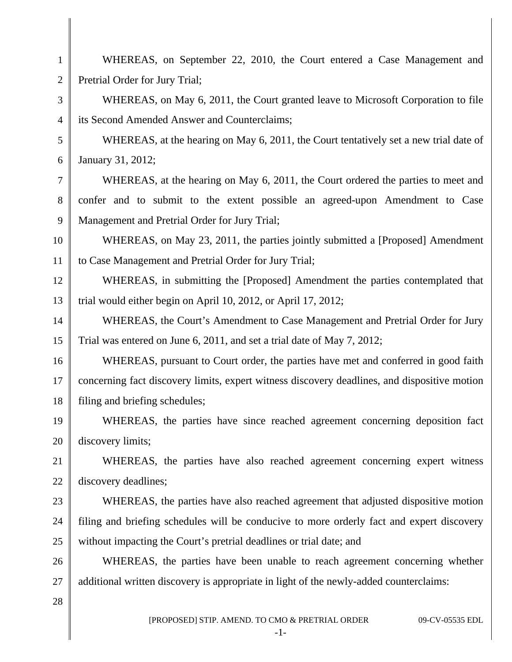WHEREAS, on September 22, 2010, the Court entered a Case Management and Pretrial Order for Jury Trial; WHEREAS, on May 6, 2011, the Court granted leave to Microsoft Corporation to file its Second Amended Answer and Counterclaims; WHEREAS, at the hearing on May 6, 2011, the Court tentatively set a new trial date of January 31, 2012;

WHEREAS, at the hearing on May 6, 2011, the Court ordered the parties to meet and confer and to submit to the extent possible an agreed-upon Amendment to Case Management and Pretrial Order for Jury Trial;

WHEREAS, on May 23, 2011, the parties jointly submitted a [Proposed] Amendment to Case Management and Pretrial Order for Jury Trial;

WHEREAS, in submitting the [Proposed] Amendment the parties contemplated that trial would either begin on April 10, 2012, or April 17, 2012;

14 15 WHEREAS, the Court's Amendment to Case Management and Pretrial Order for Jury Trial was entered on June 6, 2011, and set a trial date of May 7, 2012;

16 17 18 WHEREAS, pursuant to Court order, the parties have met and conferred in good faith concerning fact discovery limits, expert witness discovery deadlines, and dispositive motion filing and briefing schedules;

19 20 WHEREAS, the parties have since reached agreement concerning deposition fact discovery limits;

21 22 WHEREAS, the parties have also reached agreement concerning expert witness discovery deadlines;

23 24 25 WHEREAS, the parties have also reached agreement that adjusted dispositive motion filing and briefing schedules will be conducive to more orderly fact and expert discovery without impacting the Court's pretrial deadlines or trial date; and

26 27 WHEREAS, the parties have been unable to reach agreement concerning whether additional written discovery is appropriate in light of the newly-added counterclaims:

28

1

2

3

4

5

6

7

8

9

10

11

12

13

[PROPOSED] STIP. AMEND. TO CMO & PRETRIAL ORDER 09-CV-05535 EDL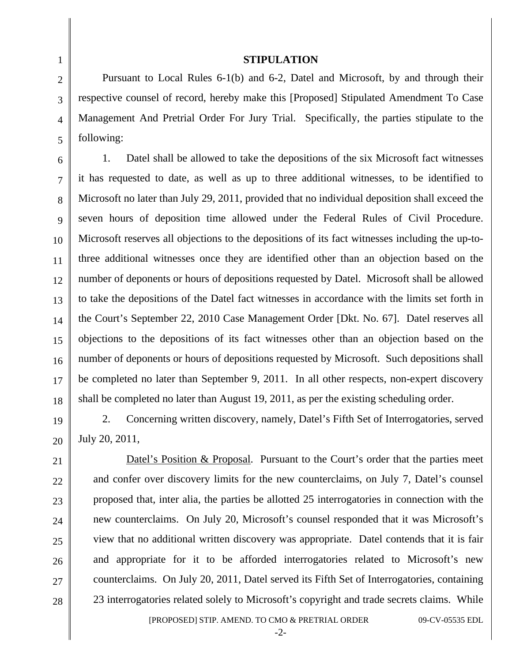## 1 2 3 4 5 6 7 8 9 10 11 12 13 14 15 16 17 18 19 20 21 22 23 24 25 26

27

28

## **STIPULATION**

Pursuant to Local Rules 6-1(b) and 6-2, Datel and Microsoft, by and through their respective counsel of record, hereby make this [Proposed] Stipulated Amendment To Case Management And Pretrial Order For Jury Trial. Specifically, the parties stipulate to the following:

1. Datel shall be allowed to take the depositions of the six Microsoft fact witnesses it has requested to date, as well as up to three additional witnesses, to be identified to Microsoft no later than July 29, 2011, provided that no individual deposition shall exceed the seven hours of deposition time allowed under the Federal Rules of Civil Procedure. Microsoft reserves all objections to the depositions of its fact witnesses including the up-tothree additional witnesses once they are identified other than an objection based on the number of deponents or hours of depositions requested by Datel. Microsoft shall be allowed to take the depositions of the Datel fact witnesses in accordance with the limits set forth in the Court's September 22, 2010 Case Management Order [Dkt. No. 67]. Datel reserves all objections to the depositions of its fact witnesses other than an objection based on the number of deponents or hours of depositions requested by Microsoft. Such depositions shall be completed no later than September 9, 2011. In all other respects, non-expert discovery shall be completed no later than August 19, 2011, as per the existing scheduling order.

2. Concerning written discovery, namely, Datel's Fifth Set of Interrogatories, served July 20, 2011,

Datel's Position & Proposal. Pursuant to the Court's order that the parties meet and confer over discovery limits for the new counterclaims, on July 7, Datel's counsel proposed that, inter alia, the parties be allotted 25 interrogatories in connection with the new counterclaims. On July 20, Microsoft's counsel responded that it was Microsoft's view that no additional written discovery was appropriate. Datel contends that it is fair and appropriate for it to be afforded interrogatories related to Microsoft's new counterclaims. On July 20, 2011, Datel served its Fifth Set of Interrogatories, containing 23 interrogatories related solely to Microsoft's copyright and trade secrets claims. While

[PROPOSED] STIP. AMEND. TO CMO & PRETRIAL ORDER 09-CV-05535 EDL

-2-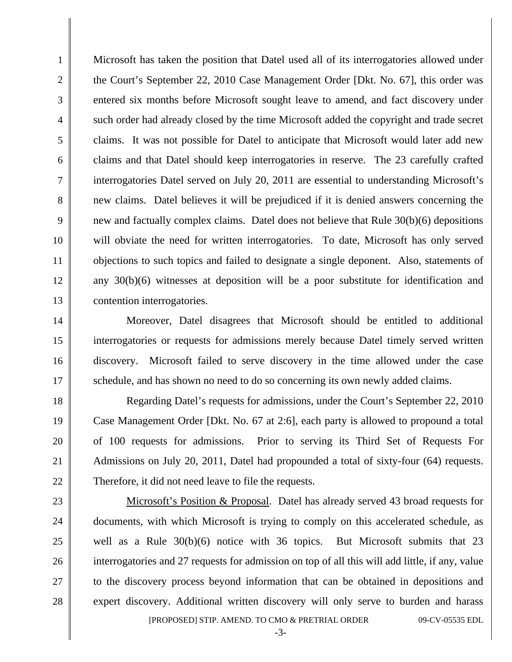Microsoft has taken the position that Datel used all of its interrogatories allowed under the Court's September 22, 2010 Case Management Order [Dkt. No. 67], this order was entered six months before Microsoft sought leave to amend, and fact discovery under such order had already closed by the time Microsoft added the copyright and trade secret claims. It was not possible for Datel to anticipate that Microsoft would later add new claims and that Datel should keep interrogatories in reserve. The 23 carefully crafted interrogatories Datel served on July 20, 2011 are essential to understanding Microsoft's new claims. Datel believes it will be prejudiced if it is denied answers concerning the new and factually complex claims. Datel does not believe that Rule 30(b)(6) depositions will obviate the need for written interrogatories. To date, Microsoft has only served objections to such topics and failed to designate a single deponent. Also, statements of any 30(b)(6) witnesses at deposition will be a poor substitute for identification and contention interrogatories.

1

2

3

4

5

6

7

8

9

10

11

12

13

14

15

16

17

18

19

20

21

22

23

24

25

26

27

28

 Moreover, Datel disagrees that Microsoft should be entitled to additional interrogatories or requests for admissions merely because Datel timely served written discovery. Microsoft failed to serve discovery in the time allowed under the case schedule, and has shown no need to do so concerning its own newly added claims.

 Regarding Datel's requests for admissions, under the Court's September 22, 2010 Case Management Order [Dkt. No. 67 at 2:6], each party is allowed to propound a total of 100 requests for admissions. Prior to serving its Third Set of Requests For Admissions on July 20, 2011, Datel had propounded a total of sixty-four (64) requests. Therefore, it did not need leave to file the requests.

 [PROPOSED] STIP. AMEND. TO CMO & PRETRIAL ORDER 09-CV-05535 EDL Microsoft's Position & Proposal. Datel has already served 43 broad requests for documents, with which Microsoft is trying to comply on this accelerated schedule, as well as a Rule 30(b)(6) notice with 36 topics. But Microsoft submits that 23 interrogatories and 27 requests for admission on top of all this will add little, if any, value to the discovery process beyond information that can be obtained in depositions and expert discovery. Additional written discovery will only serve to burden and harass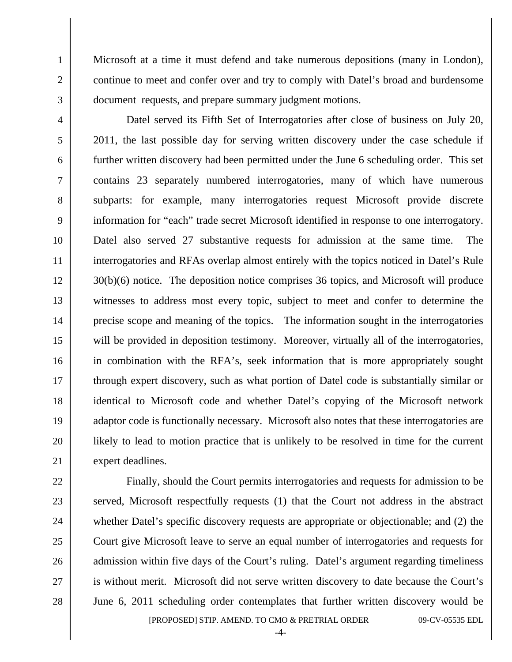Microsoft at a time it must defend and take numerous depositions (many in London), continue to meet and confer over and try to comply with Datel's broad and burdensome document requests, and prepare summary judgment motions.

1

2

3

4

5

6

7

8

9

10

11

12

13

14

15

16

17

18

19

20

21

22

23

24

25

26

27

28

 Datel served its Fifth Set of Interrogatories after close of business on July 20, 2011, the last possible day for serving written discovery under the case schedule if further written discovery had been permitted under the June 6 scheduling order. This set contains 23 separately numbered interrogatories, many of which have numerous subparts: for example, many interrogatories request Microsoft provide discrete information for "each" trade secret Microsoft identified in response to one interrogatory. Datel also served 27 substantive requests for admission at the same time. The interrogatories and RFAs overlap almost entirely with the topics noticed in Datel's Rule 30(b)(6) notice. The deposition notice comprises 36 topics, and Microsoft will produce witnesses to address most every topic, subject to meet and confer to determine the precise scope and meaning of the topics. The information sought in the interrogatories will be provided in deposition testimony. Moreover, virtually all of the interrogatories, in combination with the RFA's, seek information that is more appropriately sought through expert discovery, such as what portion of Datel code is substantially similar or identical to Microsoft code and whether Datel's copying of the Microsoft network adaptor code is functionally necessary. Microsoft also notes that these interrogatories are likely to lead to motion practice that is unlikely to be resolved in time for the current expert deadlines.

 [PROPOSED] STIP. AMEND. TO CMO & PRETRIAL ORDER 09-CV-05535 EDL Finally, should the Court permits interrogatories and requests for admission to be served, Microsoft respectfully requests (1) that the Court not address in the abstract whether Datel's specific discovery requests are appropriate or objectionable; and (2) the Court give Microsoft leave to serve an equal number of interrogatories and requests for admission within five days of the Court's ruling. Datel's argument regarding timeliness is without merit. Microsoft did not serve written discovery to date because the Court's June 6, 2011 scheduling order contemplates that further written discovery would be

-4-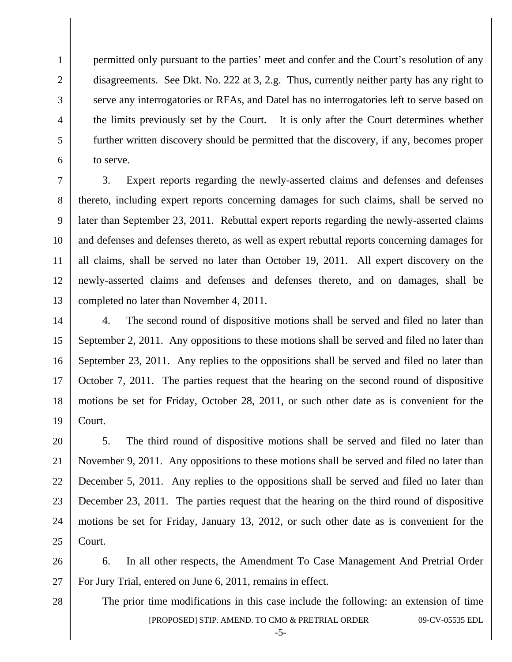permitted only pursuant to the parties' meet and confer and the Court's resolution of any disagreements. See Dkt. No. 222 at 3, 2.g. Thus, currently neither party has any right to serve any interrogatories or RFAs, and Datel has no interrogatories left to serve based on the limits previously set by the Court. It is only after the Court determines whether further written discovery should be permitted that the discovery, if any, becomes proper to serve.

7 8 3. Expert reports regarding the newly-asserted claims and defenses and defenses thereto, including expert reports concerning damages for such claims, shall be served no later than September 23, 2011. Rebuttal expert reports regarding the newly-asserted claims and defenses and defenses thereto, as well as expert rebuttal reports concerning damages for all claims, shall be served no later than October 19, 2011. All expert discovery on the newly-asserted claims and defenses and defenses thereto, and on damages, shall be completed no later than November 4, 2011.

4. The second round of dispositive motions shall be served and filed no later than September 2, 2011. Any oppositions to these motions shall be served and filed no later than September 23, 2011. Any replies to the oppositions shall be served and filed no later than October 7, 2011. The parties request that the hearing on the second round of dispositive motions be set for Friday, October 28, 2011, or such other date as is convenient for the Court.

5. The third round of dispositive motions shall be served and filed no later than November 9, 2011. Any oppositions to these motions shall be served and filed no later than December 5, 2011. Any replies to the oppositions shall be served and filed no later than December 23, 2011. The parties request that the hearing on the third round of dispositive motions be set for Friday, January 13, 2012, or such other date as is convenient for the Court.

26 27 6. In all other respects, the Amendment To Case Management And Pretrial Order For Jury Trial, entered on June 6, 2011, remains in effect.

> [PROPOSED] STIP. AMEND. TO CMO & PRETRIAL ORDER 09-CV-05535 EDL The prior time modifications in this case include the following: an extension of time

28

1

2

3

4

5

6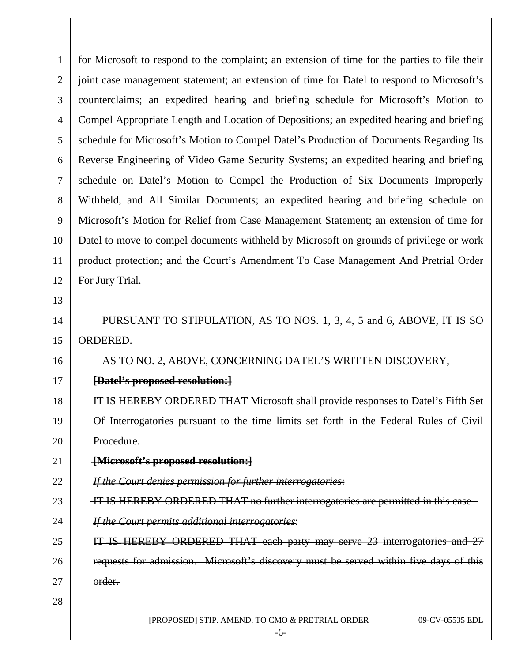| $\mathbf{1}$   | for Microsoft to respond to the complaint; an extension of time for the parties to file their |  |
|----------------|-----------------------------------------------------------------------------------------------|--|
| $\overline{2}$ | joint case management statement; an extension of time for Datel to respond to Microsoft's     |  |
| 3              | counterclaims; an expedited hearing and briefing schedule for Microsoft's Motion to           |  |
| $\overline{4}$ | Compel Appropriate Length and Location of Depositions; an expedited hearing and briefing      |  |
| 5              | schedule for Microsoft's Motion to Compel Datel's Production of Documents Regarding Its       |  |
| 6              | Reverse Engineering of Video Game Security Systems; an expedited hearing and briefing         |  |
| $\tau$         | schedule on Datel's Motion to Compel the Production of Six Documents Improperly               |  |
| $8\,$          | Withheld, and All Similar Documents; an expedited hearing and briefing schedule on            |  |
| $\mathbf{9}$   | Microsoft's Motion for Relief from Case Management Statement; an extension of time for        |  |
| 10             | Datel to move to compel documents withheld by Microsoft on grounds of privilege or work       |  |
| 11             | product protection; and the Court's Amendment To Case Management And Pretrial Order           |  |
| 12             | For Jury Trial.                                                                               |  |
| 13             |                                                                                               |  |
| 14             | PURSUANT TO STIPULATION, AS TO NOS. 1, 3, 4, 5 and 6, ABOVE, IT IS SO                         |  |
| 15             | ORDERED.                                                                                      |  |
| 16             | AS TO NO. 2, ABOVE, CONCERNING DATEL'S WRITTEN DISCOVERY,                                     |  |
| 17             | [Datel's proposed resolution:]                                                                |  |
| 18             | IT IS HEREBY ORDERED THAT Microsoft shall provide responses to Datel's Fifth Set              |  |
| 19             | Of Interrogatories pursuant to the time limits set forth in the Federal Rules of Civil        |  |
| 20             | Procedure.                                                                                    |  |
| 21             | [Microsoft's proposed resolution:]                                                            |  |
| 22             | If the Court denies permission for further interrogatories:                                   |  |
| 23             | IT IS HEREBY ORDERED THAT no further interrogatories are permitted in this case-              |  |
| 24             | If the Court permits additional interrogatories:                                              |  |
| 25             | IT IS HEREBY ORDERED THAT each party may serve 23 interrogatories and 27                      |  |
| 26             | requests for admission. Microsoft's discovery must be served within five days of this         |  |
| 27             | order.                                                                                        |  |
| 28             |                                                                                               |  |
|                | [PROPOSED] STIP. AMEND. TO CMO & PRETRIAL ORDER<br>09-CV-05535 EDL<br>$-6-$                   |  |

║